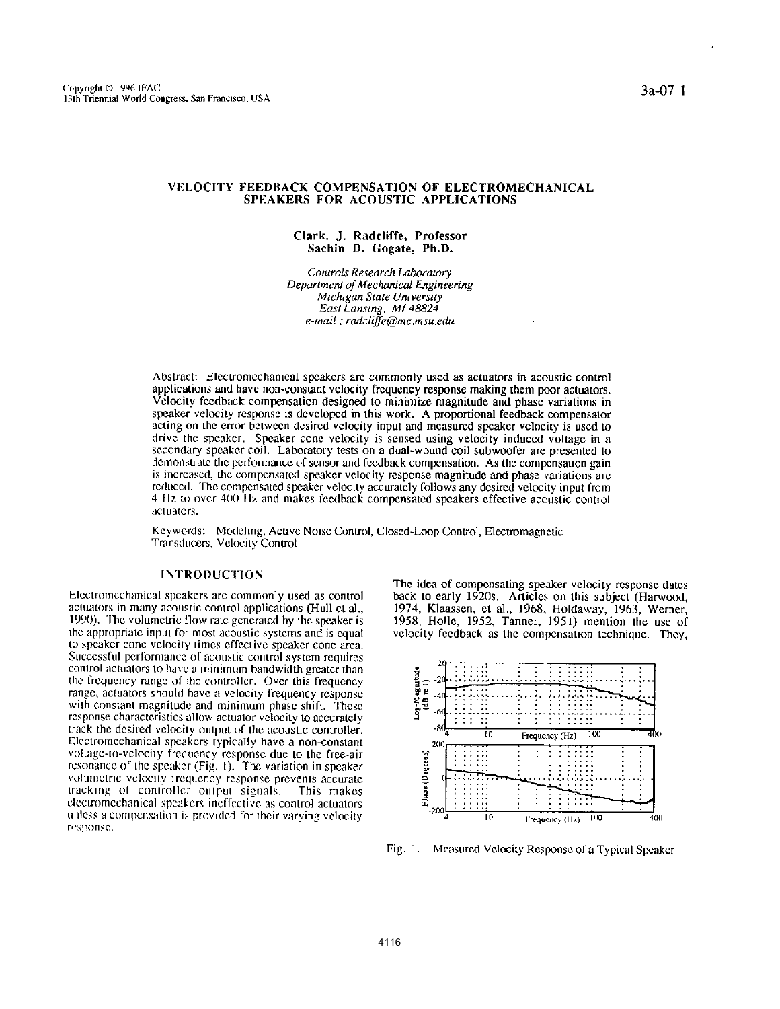## VELOCITY FEEDBACK COMPENSATION OF ELECTROMECHANICAL SPEAKERS FOR ACOUSTIC APPLICATIONS

#### Clark. J. Radcliffe, Professor Sachin D. Gogate, Ph.D.

Controls Research Laboratory Department of Mechanical Engineering Michigan State University East Lansing, MI 48824 e-mail: radcliffe@me.msu.edu

Abstract: Electromechanical speakers are commonly used as actuators in acoustic control applications and have non-constant velocity frequency response making them poor actuators. Velocity feedback compensation designed to minimize magnitude and phase variations in speaker velocity response is developed in this work. A proportional feedback compensator acting on the error between desired velocity input and measured speaker velocity is used to drive the speaker. Speaker cone velocity is sensed using velocity induced voltage in a secondary speaker coil. Laboratory tests on a dual-wound coil subwoofer are presented to demonstrate the performance of sensor and feedback compensation. As the compensation gain is increased, the compensated speaker velocity response magnitude and phase variations are reduced. The compensated speaker velocity accurately follows any desired velocity input from 4 Hz to over 400 Hz and makes feedback compensated speakers effective acoustic control actuators.

Keywords: Modeling, Active Noise Control, Closed-Loop Control, Electromagnetic Transducers, Velocity Control

## **INTRODUCTION**

Electromechanical speakers are commonly used as control actuators in many acoustic control applications (Hull et al., 1990). The volumetric flow rate generated by the speaker is the appropriate input for most acoustic systems and is equal to speaker cone velocity times effective speaker cone area. Successful performance of acoustic control system requires control actuators to have a minimum bandwidth greater than the frequency range of the controller. Over this frequency range, actuators should have a velocity frequency response with constant magnitude and minimum phase shift. These response characteristics allow actuator velocity to accurately track the desired velocity output of the acoustic controller. Electromechanical speakers typically have a non-constant voltage-to-velocity frequency response due to the free-air resonance of the speaker (Fig. 1). The variation in speaker volumetric velocity frequency response prevents accurate tracking of controller output signals. This makes electromechanical speakers ineffective as control actuators unless a compensation is provided for their varying velocity response.

The idea of compensating speaker velocity response dates back to early 1920s. Articles on this subject (Harwood, 1974, Klaassen, et al., 1968, Holdaway, 1963, Werner, 1958, Holle, 1952, Tanner, 1951) mention the use of velocity feedback as the compensation technique. They,



Fig. 1. Measured Velocity Response of a Typical Speaker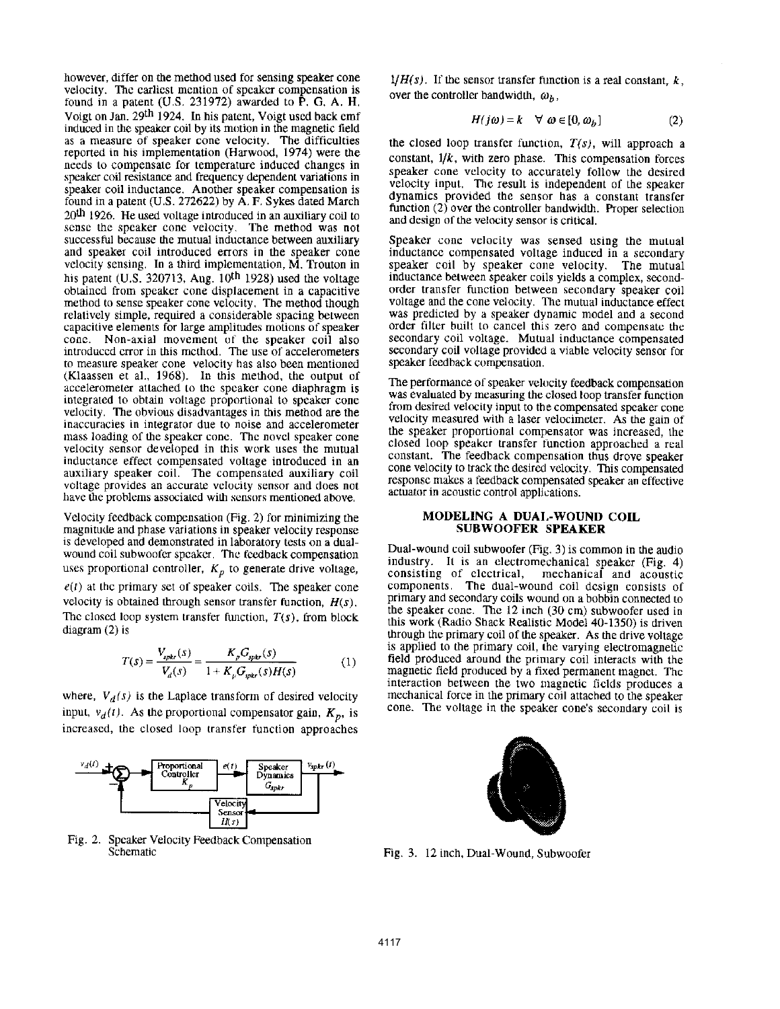however, differ on the method used for sensing speaker cone **velocity. The earliest mention of speaker compensation is**  found in a patent  $(U.S. 231972)$  awarded to  $\overline{P}$ . G. A. H. Voigt on Jan. 29th 1924. In his patent, Voigt used back emf **induced in the speaker coil by its motion in the magnetic field as a measure of speaker cone velocity. The difficulties**  reported in his implementation (Harwaod, 1974) were the needs to compensate for temperature induced changes in **speaker coil resistance and frequency dependent variations in speaker coil inductance. Another speaker compensation is**  found in a patent (U.S. 272622) by A. F. Sykes dated March **20th 1926. He used volLage introduced in an auxiliary coil to sense the speaker cone velocity. The method was not successful because the mutual inductance between auxiliary and speaker coil introduced errors in the speaker cone velocity sensing. In a third implementation, M. Trouton in**  his patent (U.S. 320713, Aug.  $10^{th}$  1928) used the voltage **obtained from speaker cone displacement in a capacitive**  method to sense speaker cone velocity. The method though **relatively simple, required a considerable spacing between capacitive elements for large amplitudes motions of speaker cone. Non-axial movement of the speaker coil also introduced error in this method. The use of accelerometers to measure speaker cone velocity has also been mentioned**  (Klaassen et aI., 1968). In this method, the output of **accelerometer attached lo the speaker cone diaphragm is integrated to obtain voltage proportional to speaker cone velocity. The obvious disadvantages in this method are the inaccuracies in integrator due to noise and accelerometer mass loading of the speaker cone. The novel speaker cone velocity sensor developed in this work uses the mutual inductance effect compensated voltage introduced in an auxiliary speaker coil. The compensated auxiliary coil voltage provides an accurate velocity sensor and does not have the problems associated with sensors mentioned above.** 

Velocity feedback compensation (Fig. 2) for minimizing the **magnitude and phase variations in speaker velocity response is developed and demonstrated in laboratory tests on a dualwound coil subwoofcr speaker. The feedback compensation**  uses proportional controller,  $K_p$  to generate drive voltage,

 $e(t)$  at the primary set of speaker coils. The speaker cone velocity is obtained through sensor transfer function,  $H(s)$ , The closed loop system transfer function,  $T(s)$ , from block diagram (2) is

$$
T(s) = \frac{V_{\text{spkr}}(s)}{V_d(s)} = \frac{K_p G_{\text{spkr}}(s)}{1 + K_p G_{\text{spkr}}(s)H(s)}\tag{1}
$$

where,  $V_d(s)$  is the Laplace transform of desired velocity input,  $v_d(t)$ . As the proportional compensator gain,  $K_p$ , is **increased, the closed loop transfer function approaches** 



Fig. 2. Speaker Velocity Feedback Compensation **Schematic** 

*IfH(s)*. If the sensor transfer function is a real constant,  $k$ , over the controller bandwidth,  $\omega_h$ ,

$$
H(j\omega) = k \quad \forall \ \omega \in [0, \omega_b]
$$
 (2)

the closed loop transfer function,  $T(s)$ , will approach a constant, *l/k,* with zero phase. This compensation forces **speaker cone velocity to accurately follow the desired**  velocity input. The result is independent of the speaker **dynamics provided the sensor has a constant transfer**  function  $(2)$  over the controller bandwidth. Proper selection **and design of the velocity sensor is critical.** 

Speaker cone velocity was sensed using the mutual **inductance compensated voltage induced in a secondary**  speaker coil by speaker cone velocity. The mutual **inductance between speaker coils yields a complex, secondorder transfer function between secondary speaker coil voltage and the cone velocity. The mutual inductance effect**  was predicted by a speaker dynamic model and a second **order filter built to cancel this zero and compensate the secondary coil voltage. Mutual inductance compensated secondary coil voltage provided a viable velocity sensor for speaker feedback compensation.** 

The performance of speaker velocity feedback compensation **was evaluated by measuring the closed loop transfer function from desired velocity input to the compensated speaker cone velocity measured with a laser velocimetcr. As the gain of the speaker proportional compensator was increased, the closed loop speaker transfer (unction approached a real**  cone velocity to track the desired velocity. This compensated **response makes a feedback compensated speaker an effective actuator in acoustic control applh:ations.** 

# **MODELING A DUAL-WOUND COIL**  SUB WOOFER **SPEAKER**

Dual-wound coil subwoafer (Fig. 3) is common in the audio industry. It is an electromechanical speaker (Fig. 4) **consisting of electrical, mechanical and acoustic components. The dual-wound coil design consists of primary and secondary coils wound on a bobbin connected lo**  the speaker cone. The 12 inch (30 cm) subwoofer used in this work (Radio Shack Realistic Model 40-1350) is driven through the primary coil of the speaker. As the drive voltage **is applied to the primary coil, the varying electromagnetic field produced around the primary coil interacts with the**  magnetic field produced by a fixed permanent magnet. The **interaction between the two magnetic fields produces a mechanical force in the primary coil attached to the speaker cone. The voltage in the speaker cone's secondary coil is** 



Fig. 3. 12 inch, Dual-Wound, Subwoofer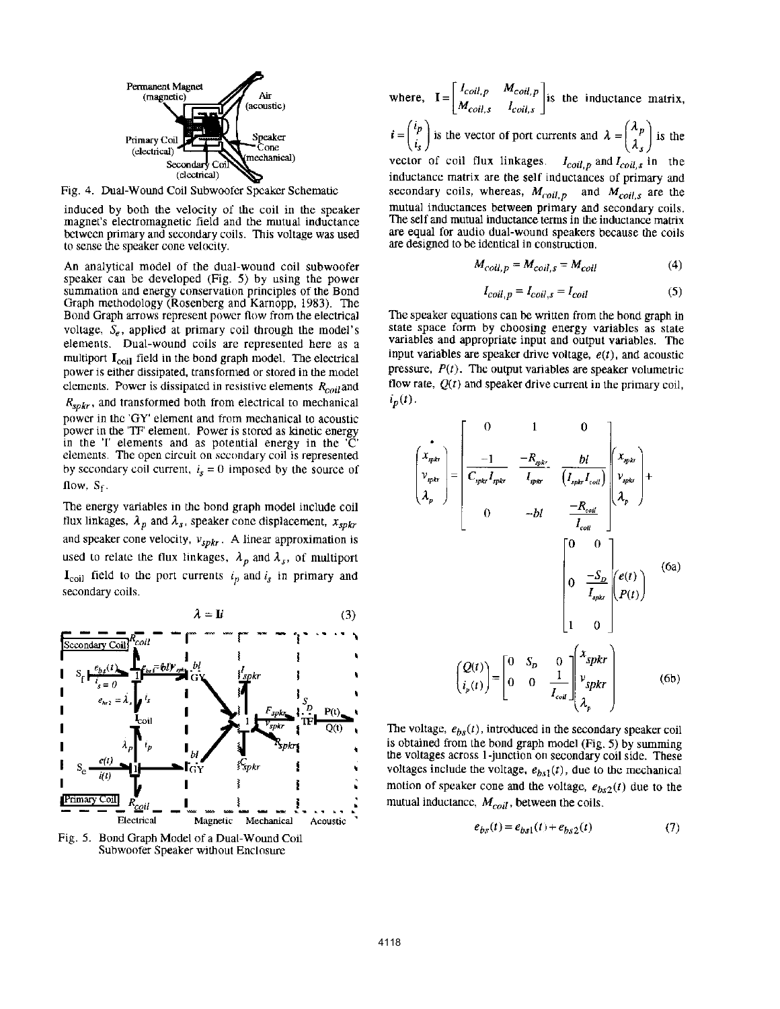

Fig. 4. Dual-Wound Coil Subwoofer Speaker Schematic

induced by both the velocity of the coil in the speaker magnet's electromagnetic field and the mutual inductance between primary and secondary coils. This voltage was used to sense the speaker cone velocity.

An analytical model of the dual-wound coil subwoofer speaker can be developed (Fig. 5) by using the power summation and energy conservation principles of the Bond Graph methodology (Rosenberg and Karnopp, 1983). The Bond Graph arrows represent power flow from the electrical voltage,  $S_e$ , applied at primary coil through the model's elements. Dual-wound coils arc represented here as a multiport  $I_{coil}$  field in the bond graph model. The electrical power is either dissipated, transformed or stored in the model elements. Power is dissipated in resistive elements  $R_{\text{coil}}$  and  $R_{sphr}$ , and transformed both from electrical to mechanical power in the 'QY' element and from mechanical to acoustic power in the 'TF element. Power is stored as kinetic energy in the  $T$  elements and as potential energy in the  $\overline{C}$ elements. The open circuit on secondary coil is represented by secondary coil current,  $i_s = 0$  imposed by the source of flow,  $S_f$ .

The energy variables in the bond graph model include coil flux linkages,  $\lambda_p$  and  $\lambda_s$ , speaker cone displacement,  $x_{spkr}$ and speaker cone velocity,  $v_{spkr}$ . A linear approximation is used to relate the flux linkages,  $\lambda_p$  and  $\lambda_s$ , of multiport  $\mathbf{I}_{\text{coil}}$  field to the port currents  $i_p$  and  $i_s$  in primary and secondary coils.



Fig. 5. Bond Graph Model of a Dual-Wound Coil Subwoofer Speaker without Enclosure

where, 
$$
I = \begin{bmatrix} I_{coil,P} & M_{coil,P} \\ M_{coil,s} & I_{coil,s} \end{bmatrix}
$$
 is the inductance matrix,  
\n $t = \begin{pmatrix} i_p \\ i_s \end{pmatrix}$  is the vector of port currents and  $\lambda = \begin{pmatrix} \lambda_p \\ \lambda_s \end{pmatrix}$  is the  
\nvector of coil flux linkages.  $I_{coil,P}$  and  $I_{coil,s}$  in the  
\ninductance matrix are the self inductances of primary and  
\nsecondary coils, whereas,  $M_{coil,P}$  and  $M_{coil,s}$  are the  
\nmutual inductances between primary and secondary coils.  
\nThe self and mutual inductance terms in the inductance matrix  
\nare equal for audio dual-wound speakers because the coils  
\nare designed to be identical in construction.

$$
M_{coil. p} = M_{coil. s} = M_{coil} \tag{4}
$$

$$
I_{coil, p} = I_{coil, s} = I_{coil}
$$
 (5)

The speaker equations can be written from the bond graph in state space form by choosing energy variables as state variables and appropriate input and output variables. The input variables are speaker drive voltage,  $e(t)$ , and acoustic pressure,  $P(t)$ . The output variables are speaker volumetric flow rate,  $Q(t)$  and speaker drive current in the primary coil,  $i_p(t)$ .

$$
\begin{pmatrix}\n\mathbf{i} \\
\mathbf{j}_{\text{r}} \\
\mathbf{k}_{\text{r}} \\
\mathbf{k}_{\text{r}}\n\end{pmatrix} = \begin{bmatrix}\n0 & 1 & 0 \\
\frac{-1}{C_{\text{r}}\mathbf{j}_{\text{r}}I_{\text{r}}k_{\text{r}}}} & \frac{-R_{\text{r}}k_{\text{r}}}{I_{\text{r}}k_{\text{r}}}} & \frac{bl}{(I_{\text{r}}k_{\text{r}}I_{\text{r}oil}}) \begin{pmatrix} x_{\text{r}}k_{\text{r}} \\ y_{\text{r}}k_{\text{r}} \\ \frac{-R_{\text{r}oil}}{I_{\text{r}oil}} \end{pmatrix} \begin{pmatrix} x_{\text{r}}k_{\text{r}}k_{\text{r}} \\ y_{\text{r}}k_{\text{r}} \end{pmatrix} + \begin{pmatrix}\n0 & 0 \\
0 & -\frac{S_{D}}{I_{\text{r}oil}}} \begin{pmatrix} e(t) \\
P(t) \end{pmatrix}\n\end{pmatrix}
$$
\n
$$
\begin{pmatrix}\nQ(t) \\
i_{p}(t)\n\end{pmatrix} = \begin{bmatrix}\n0 & S_{D} & 0 \\
0 & 0 & \frac{1}{I_{\text{r}oil}} \begin{bmatrix} x_{\text{r}}k_{\text{r}} \\ v_{\text{r}}k_{\text{r}} \\ \lambda_{p} \end{bmatrix} \begin{pmatrix} 6b \end{pmatrix}
$$
\n
$$
\begin{pmatrix} 0 & 0 & 0 \\ 0 & 0 & \frac{1}{I_{\text{r}oil}} \end{pmatrix} \begin{pmatrix} x_{\text{r}}k_{\text{r}} \\ y_{\text{r}}k_{\text{r}} \\ \lambda_{p} \end{pmatrix}
$$
\n
$$
(6b)
$$

The voltage,  $e_{bs}(t)$ , introduced in the secondary speaker coil is obtained from the bond graph model (Fig. 5) by summing the voltages across I-junction on secondary coil side. These voltages include the voltage,  $e_{bs1}(t)$ , due to the mechanical motion of speaker cone and the voltage,  $e_{bs2}(t)$  due to the mutual inductance,  $M_{coil}$ , between the coils.

$$
e_{bs}(t) = e_{bs1}(t) + e_{bs2}(t)
$$
 (7)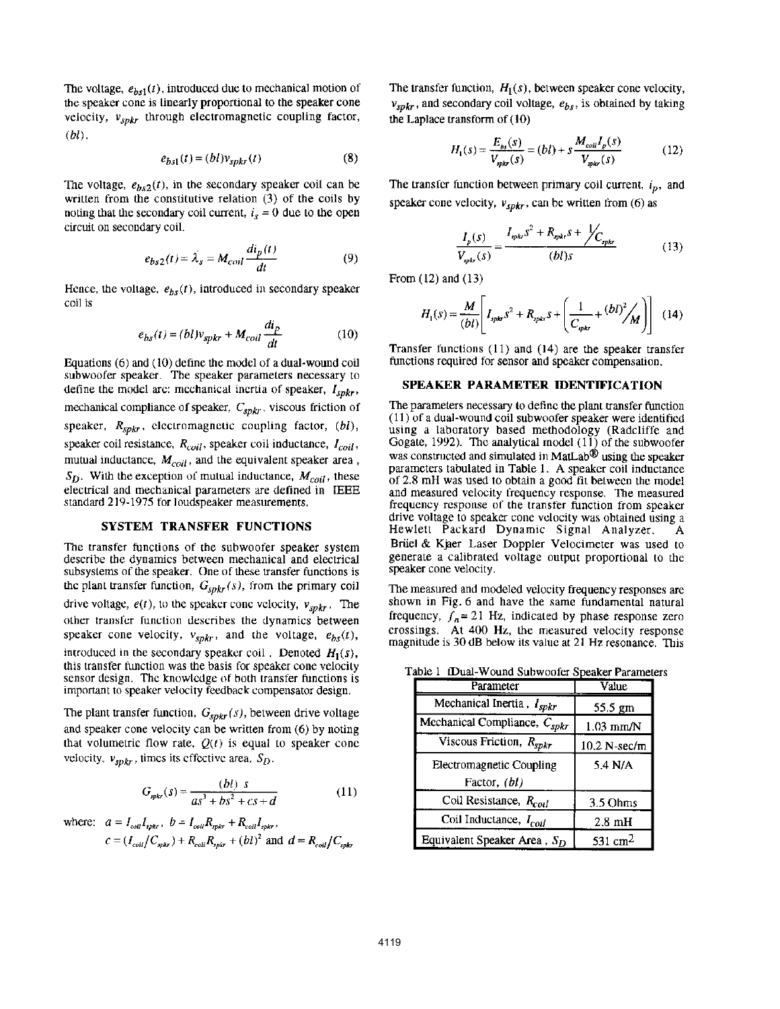The voltage,  $e_{bs1}(t)$ , introduced due to mechanical motion of tbe speaker cone is linearly proportional to the speaker cone velocity,  $v_{spkr}$  through electromagnetic coupling factor, *(bl) ,* 

$$
e_{bs1}(t) = (bl)v_{spkr}(t)
$$
 (8)

The voltage,  $e_{bs2}(t)$ , in the secondary speaker coil can be written from the constitutive relation  $(3)$  of the coils by noting that the secondary coil current,  $i_s = 0$  due to the open circuit on secondary coil.

$$
e_{bs2}(t) = \lambda_s = M_{coil} \frac{di_p(t)}{dt}
$$
 (9)

Hence, the voltage,  $e_{bs}(t)$ , introduced in secondary speaker coil is

$$
e_{bs}(t) = (bl)v_{spkr} + M_{coll} \frac{di_p}{dt}
$$
 (10)

Equations (6) and (10) define tbe model of a dual-wound coil subwoofer speaker. The speaker parameters necessary to define the model arc: mechanical inertia of speaker,  $I_{spkr}$ , mechanical compliance of speaker,  $C_{spkr}$ , viscous friction of speaker,  $R_{spkr}$ , electromagnetic coupling factor,  $(bl)$ , speaker coil resistance, *Rcoil,* speaker coil inductance, *[coil,*  mutual inductance,  $M_{coil}$ , and the equivalent speaker area,  $S_D$ . With the exception of mutual inductance,  $M_{coil}$ , these electrical and mechanical parameters are defined in IEEE standard 219-1975 for loudspeaker measurements,

# SYSTEM TRANSFER FUNCTIONS

The transfer functions of the subwoofer speaker system describe the dynamics between mechanical and electrical subsystems of the speaker. One of these transfer functions is the plant transfer function,  $G_{spkr}(s)$ , from the primary coil drive voltage,  $e(t)$ , to the speaker cone velocity,  $v_{spkr}$ . The other transfer function describes the dynamics between speaker cone velocity,  $v_{spkr}$ , and the voltage,  $e_{bs}(t)$ , introduced in the secondary speaker coil, Denoted  $H_1(s)$ , this transfer function was the basis for speaker cone velocity sensor design. The knowledge of both transfer functions is important to speaker velocity feedback compensator design,

The plant transfer function,  $G_{spkr}(s)$ , between drive voltage and speaker cone velocity can be written from (6) by noting that volumetric flow rate,  $Q(t)$  is equal to speaker cone velocity,  $v_{spkr}$ , times its effective area,  $S_D$ .

$$
G_{\text{spkr}}(s) = \frac{(bl) \ s}{as^3 + bs^2 + cs + d} \tag{11}
$$

where: 
$$
a = I_{coll}I_{ppkr}
$$
,  $b = I_{coll}R_{ppkr} + R_{coil}I_{spkr}$ ,  
\n $c = (I_{coll}/C_{spkr}) + R_{coil}R_{ppkr} + (bl)^2$  and  $d = R_{coil}/C_{spkr}$ 

The transfer function,  $H_1(s)$ , between speaker cone velocity,  $v_{spkr}$ , and secondary coil voltage,  $e_{bs}$ , is obtained by taking the Laplace transform of (10)

$$
H_1(s) = \frac{E_{bs}(s)}{V_{spix}(s)} = (bl) + s \frac{M_{coil}I_p(s)}{V_{spix}(s)}
$$
(12)

The transfer function between primary coil current,  $i<sub>p</sub>$ , and speaker cone velocity,  $v_{spkr}$ , can be written from (6) as

$$
\frac{I_p(s)}{V_{spk}(s)} = \frac{I_{spk} s^2 + R_{spk} s + \cancel{C_{spk}}}{(b l)s}
$$
(13)

From (12) and (13)

$$
H_1(s) = \frac{M}{(bl)} \left[ I_{spkr} s^2 + R_{spkr} s + \left( \frac{1}{C_{spkr}} + (bl)^2 / M \right) \right] (14)
$$

Transfer functions (11) and (14) are tbe speaker transfer functions required for sensor and speaker compensation.

## SPEAKER PARAMETER IDENTIFICATION

The parameters necessary to define the plant transfer function  $(11)$  of a dual-wound coil subwoofer speaker were identified using a laboratory based methodology (Radcliffe and Gogate, 1992). The analytical model  $(11)$  of the subwoofer was constructed and simulated in MatLab® using the speaker parameters tabulated in Table I. A speaker coil inductance of 2.8 mH was used to obtain a good tit betwecn the model and measured velocity frequency response. The measured frequency response of the transfer function from speaker drive voltage to speaker cone velocity was obtained using a Hewlett Packard Dynamic Signal Analyzer. Briiel & Kjaer Laser Doppler Velocimeter was used to generate a calibrated voltage output proportional to the speaker cone velocity.

The measured and modeled velocity frequency responses are shown in Fig. 6 and have the same fundamental natural frequency,  $f_n = 21$  Hz, indicated by phase response zero crossings. At 400 Hz, the measured velocity response magnitude is 30 dB below its value at 21 Hz resonance. This

Table 1 (Dual-Wound Subwoofer Speaker Parameters

| Parameter                          | Value               |
|------------------------------------|---------------------|
| Mechanical Inertia, $I_{spkr}$     | 55.5 gm             |
| Mechanical Compliance, $C_{spkr}$  | $1.03$ mm/N         |
| Viscous Friction, $R_{spkr}$       | $10.2 N-sec/m$      |
| <b>Electromagnetic Coupling</b>    | 5.4 N/A             |
| Factor, (bl)                       |                     |
| Coil Resistance, R <sub>coil</sub> | 3.5 Ohms            |
| Coil Inductance, $I_{coil}$        | $2.8 \text{ mH}$    |
| Equivalent Speaker Area, $S_D$     | 531 cm <sup>2</sup> |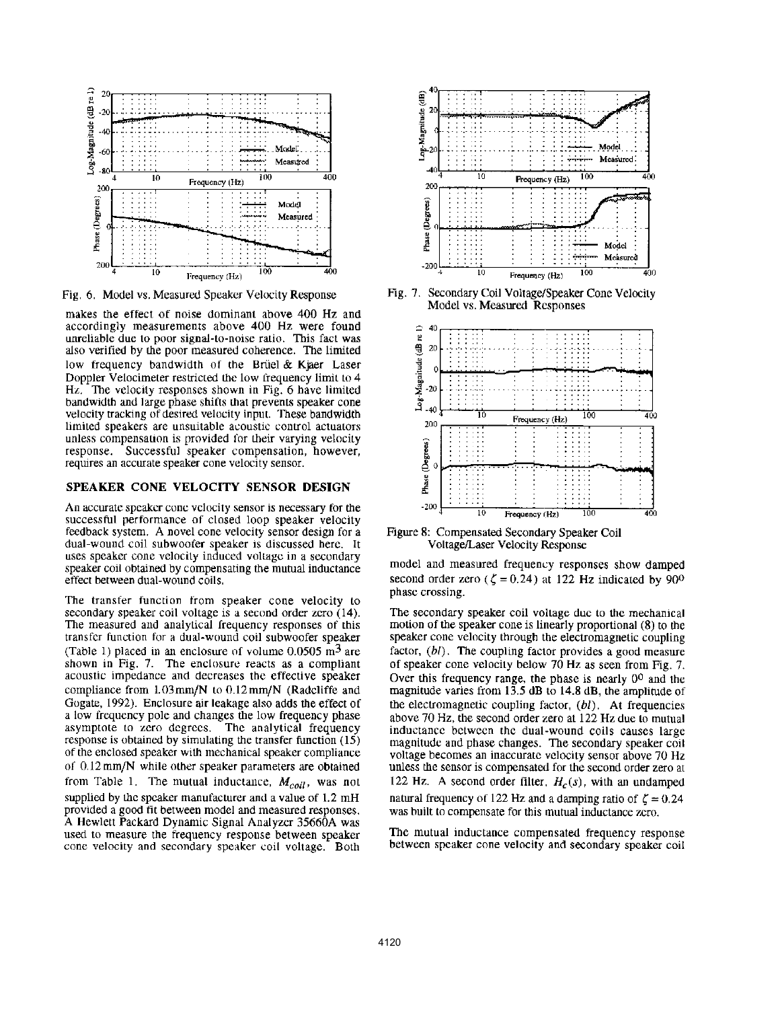

Fig. 6. Model vs. Measured Speaker Velocity Response

makes the effect of noise dominant above 400 Hz and accordingly measurements above 400 Hz were found unreliable due to poor signal-to-noise ratio. This fact was also verified by the poor measured coherence. The limited low frequency bandwidth of the Briiel & Kjaer Laser Doppler Velocimeter restricted the low frequency limit to 4 Hz. The velocity responses shown in Fig. 6 have limited bandwidth and large phase shifts that prevents speaker cone velocity tracking of desired velocity input. These bandwidth limited speakers are unsuitable acoustic control actuators unless compensation is provided for their varying velocity response. Successful speaker compensation, however, requires an accurate speaker cone velocity sensor.

### SPEAKER CONE VELOCITY SENSOR DESIGN

An accurate speaker cone velocity sensor is necessary for the successful performance of closed loop speaker velocity feedback system. A novel cone velocity sensor design for a dual-wound coil subwoofer speaker is discussed here. It uses speaker cone velocily induced vollagc in a secondary speaker coil obtained by compensaling the mutual inductance effect between dual-wound coils.

The transfer function from speaker cone velocity to secondary speaker coil voltage is a second order zero (14). The measured and analytical frequency responses of this transfer function for a dual-wound coil subwoofer speaker (Table 1) placed in an enclosure of volume  $0.0505 \text{ m}^3$  are shown in Fig. 7. The enclosure reacts as a compliant acoustic impedance and decreases the effective speaker compliance from  $1.03$ mm/N to  $0.12$ mm/N (Radcliffe and Gogate, 1992). Enclosure air leakage also adds the effect of a low frequency pole and changes the low frequency phase asymptote to zero degrees. The analytical frequency response is obtained by simulating the transfer function (15) of the enclosed speaker with mechanical speaker compliance of 0.12 mm/N while other speaker parameters are obtained from Table 1. The mutual inductance,  $M_{coil}$ , was not supplied by the speaker manufacturer and a value of 1.2 mH provided a good fit between model and measured responses. A Hewlett Packard Dynamic Signal Analyzer 35660A was used to measure the frequency response between speaker cone velocity and secondary speaker coil voltage. Both



Fig. 7. Secondary Coil Voltage/Speaker Cone Velocity Model vs. Measured Responses



Figure 8: Compensated Secondary Speaker Coil Vollage/Laser Velocity Response

model and measured frequency responses show damped second order zero ( $\zeta = 0.24$ ) at 122 Hz indicated by 90<sup>o</sup> phase crossing.

The secondary speaker coil VOltage due to the mechanical motion of the speaker cone is linearly proportional (8) to the speaker cone velocity through the electromagnetic coupling factor, (bl). The coupling factor provides a good measure of speaker cone velocity below 70 Hz as seen from Fig. 7. Over this frequency range. the phase is nearly 00 and the magnitude varies from 13.5 dB to 14.8 dB, the amplimde of the electromagnetic coupling factor, *(bl).* At frequencies above 70 Hz, the second order zero at 122 Hz due to mutual inductance between the dual-wound coils causes large magnitude and phase changes. The secondary speaker coil voltage becomes an inaccurale velocity sensor above 70 Hz unless the sensor is compensated for the second order zero al 122 Hz. A second order filter,  $H_c(s)$ , with an undamped natural frequency of 122 Hz and a damping ratio of  $\zeta = 0.24$ was built to compensate for this mutual inductance zero.

The mutual inductance compensated frequency response between speaker cone velocity and secondary speaker coil